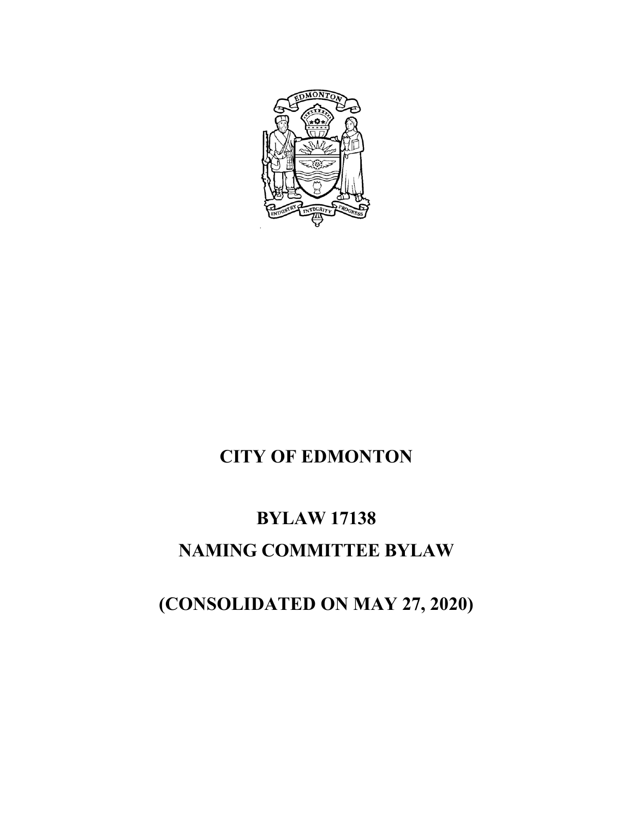

# **CITY OF EDMONTON**

## **BYLAW 17138**

### **NAMING COMMITTEE BYLAW**

# **(CONSOLIDATED ON MAY 27, 2020)**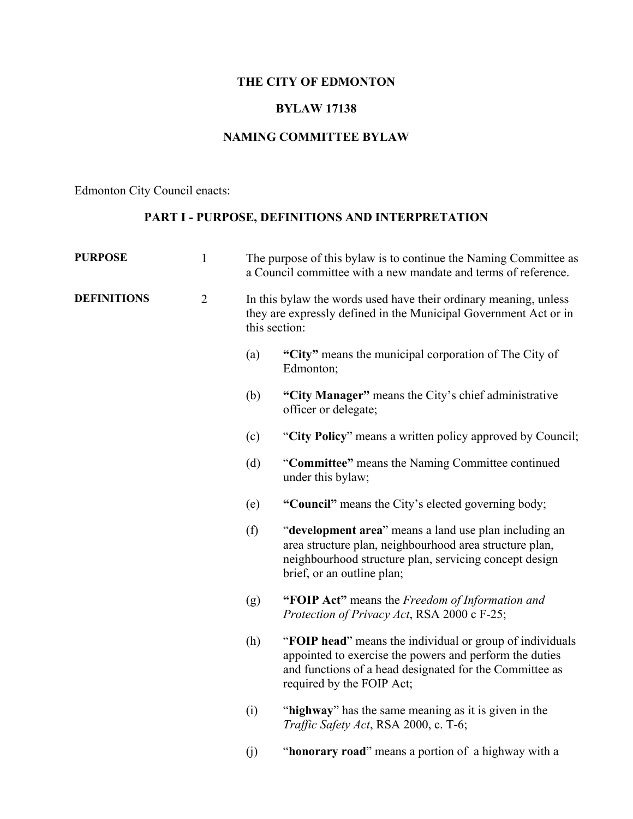### **THE CITY OF EDMONTON**

#### **BYLAW 17138**

#### **NAMING COMMITTEE BYLAW**

Edmonton City Council enacts:

#### **PART I - PURPOSE, DEFINITIONS AND INTERPRETATION**

| <b>PURPOSE</b>     | $\mathbf{1}$   |     | The purpose of this bylaw is to continue the Naming Committee as<br>a Council committee with a new mandate and terms of reference.                                                                          |
|--------------------|----------------|-----|-------------------------------------------------------------------------------------------------------------------------------------------------------------------------------------------------------------|
| <b>DEFINITIONS</b> | $\overline{2}$ |     | In this by law the words used have their ordinary meaning, unless<br>they are expressly defined in the Municipal Government Act or in<br>this section:                                                      |
|                    |                | (a) | "City" means the municipal corporation of The City of<br>Edmonton;                                                                                                                                          |
|                    |                | (b) | "City Manager" means the City's chief administrative<br>officer or delegate;                                                                                                                                |
|                    |                | (c) | "City Policy" means a written policy approved by Council;                                                                                                                                                   |
|                    |                | (d) | "Committee" means the Naming Committee continued<br>under this bylaw;                                                                                                                                       |
|                    |                | (e) | "Council" means the City's elected governing body;                                                                                                                                                          |
|                    |                | (f) | "development area" means a land use plan including an<br>area structure plan, neighbourhood area structure plan,<br>neighbourhood structure plan, servicing concept design<br>brief, or an outline plan;    |
|                    |                | (g) | "FOIP Act" means the Freedom of Information and<br>Protection of Privacy Act, RSA 2000 c F-25;                                                                                                              |
|                    |                | (h) | "FOIP head" means the individual or group of individuals<br>appointed to exercise the powers and perform the duties<br>and functions of a head designated for the Committee as<br>required by the FOIP Act; |
|                    |                | (i) | "highway" has the same meaning as it is given in the<br>Traffic Safety Act, RSA 2000, c. T-6;                                                                                                               |
|                    |                | (j) | "honorary road" means a portion of a highway with a                                                                                                                                                         |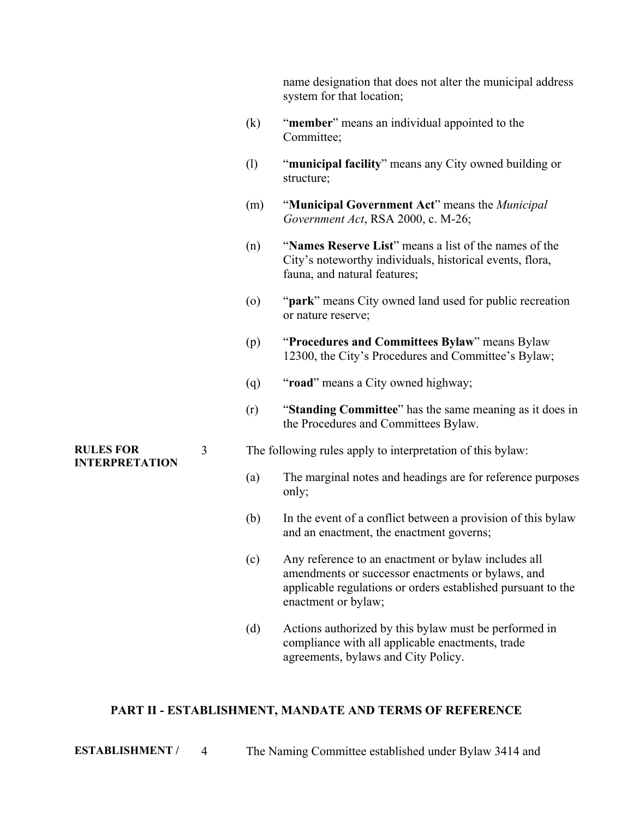|                                           |   |                   | name designation that does not alter the municipal address<br>system for that location;                                                                                                         |
|-------------------------------------------|---|-------------------|-------------------------------------------------------------------------------------------------------------------------------------------------------------------------------------------------|
|                                           |   | (k)               | "member" means an individual appointed to the<br>Committee;                                                                                                                                     |
|                                           |   | (1)               | "municipal facility" means any City owned building or<br>structure;                                                                                                                             |
|                                           |   | (m)               | "Municipal Government Act" means the Municipal<br>Government Act, RSA 2000, c. M-26;                                                                                                            |
|                                           |   | (n)               | "Names Reserve List" means a list of the names of the<br>City's noteworthy individuals, historical events, flora,<br>fauna, and natural features;                                               |
|                                           |   | $\left( 0\right)$ | " <b>park</b> " means City owned land used for public recreation<br>or nature reserve;                                                                                                          |
|                                           |   | (p)               | "Procedures and Committees Bylaw" means Bylaw<br>12300, the City's Procedures and Committee's Bylaw;                                                                                            |
|                                           |   | (q)               | "road" means a City owned highway;                                                                                                                                                              |
|                                           |   | (r)               | "Standing Committee" has the same meaning as it does in<br>the Procedures and Committees Bylaw.                                                                                                 |
| <b>RULES FOR</b><br><b>INTERPRETATION</b> | 3 |                   | The following rules apply to interpretation of this bylaw:                                                                                                                                      |
|                                           |   | (a)               | The marginal notes and headings are for reference purposes<br>only;                                                                                                                             |
|                                           |   | (b)               | In the event of a conflict between a provision of this bylaw<br>and an enactment, the enactment governs;                                                                                        |
|                                           |   | (c)               | Any reference to an enactment or bylaw includes all<br>amendments or successor enactments or bylaws, and<br>applicable regulations or orders established pursuant to the<br>enactment or bylaw; |

(d) Actions authorized by this bylaw must be performed in compliance with all applicable enactments, trade agreements, bylaws and City Policy.

#### **PART II - ESTABLISHMENT, MANDATE AND TERMS OF REFERENCE**

**ESTABLISHMENT /** 4 The Naming Committee established under Bylaw 3414 and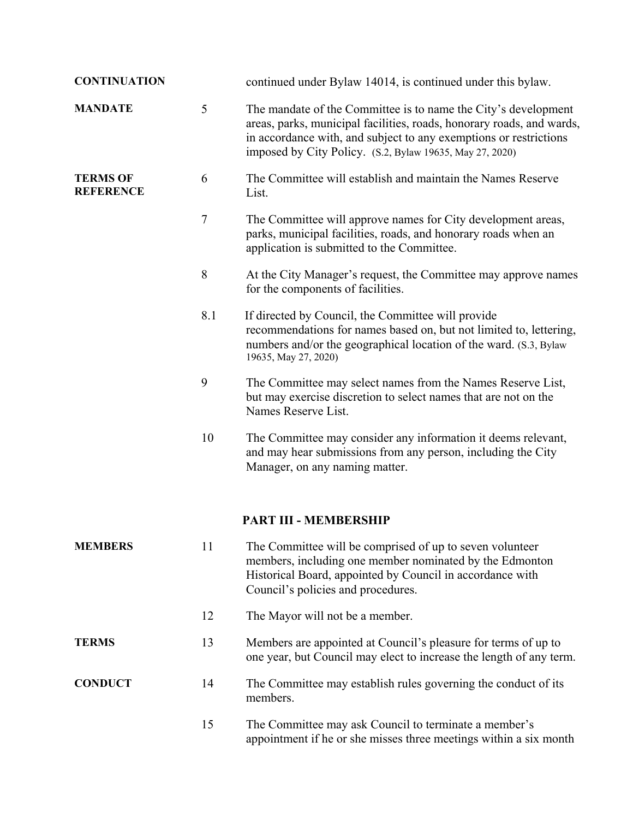| <b>CONTINUATION</b>                 |                | continued under Bylaw 14014, is continued under this bylaw.                                                                                                                                                                                                              |
|-------------------------------------|----------------|--------------------------------------------------------------------------------------------------------------------------------------------------------------------------------------------------------------------------------------------------------------------------|
| <b>MANDATE</b>                      | $\mathfrak{S}$ | The mandate of the Committee is to name the City's development<br>areas, parks, municipal facilities, roads, honorary roads, and wards,<br>in accordance with, and subject to any exemptions or restrictions<br>imposed by City Policy. (S.2, Bylaw 19635, May 27, 2020) |
| <b>TERMS OF</b><br><b>REFERENCE</b> | 6              | The Committee will establish and maintain the Names Reserve<br>List.                                                                                                                                                                                                     |
|                                     | $\overline{7}$ | The Committee will approve names for City development areas,<br>parks, municipal facilities, roads, and honorary roads when an<br>application is submitted to the Committee.                                                                                             |
|                                     | 8              | At the City Manager's request, the Committee may approve names<br>for the components of facilities.                                                                                                                                                                      |
|                                     | 8.1            | If directed by Council, the Committee will provide<br>recommendations for names based on, but not limited to, lettering,<br>numbers and/or the geographical location of the ward. (S.3, Bylaw<br>19635, May 27, 2020)                                                    |
|                                     | 9              | The Committee may select names from the Names Reserve List,<br>but may exercise discretion to select names that are not on the<br>Names Reserve List.                                                                                                                    |
|                                     | 10             | The Committee may consider any information it deems relevant,<br>and may hear submissions from any person, including the City<br>Manager, on any naming matter.                                                                                                          |
|                                     |                | PART III - MEMBERSHIP                                                                                                                                                                                                                                                    |
| <b>MEMBERS</b>                      | 11             | The Committee will be comprised of up to seven volunteer<br>members, including one member nominated by the Edmonton<br>Historical Board, appointed by Council in accordance with<br>Council's policies and procedures.                                                   |
|                                     | 12             | The Mayor will not be a member.                                                                                                                                                                                                                                          |
| <b>TERMS</b>                        | 13             | Members are appointed at Council's pleasure for terms of up to<br>one year, but Council may elect to increase the length of any term.                                                                                                                                    |
| <b>CONDUCT</b>                      | 14             | The Committee may establish rules governing the conduct of its<br>members.                                                                                                                                                                                               |
|                                     | 15             | The Committee may ask Council to terminate a member's<br>appointment if he or she misses three meetings within a six month                                                                                                                                               |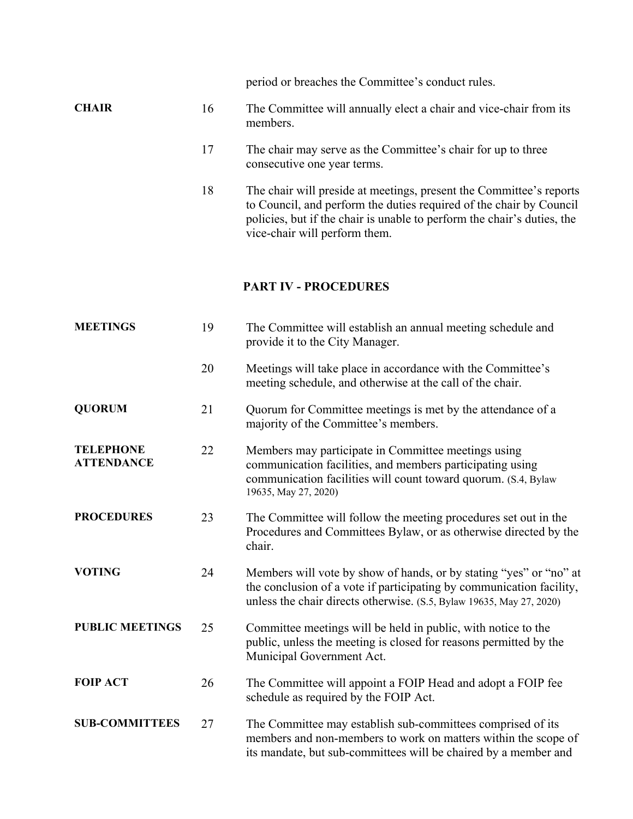|              |    | period or breaches the Committee's conduct rules.                                                                                                                                                                                                      |
|--------------|----|--------------------------------------------------------------------------------------------------------------------------------------------------------------------------------------------------------------------------------------------------------|
| <b>CHAIR</b> | 16 | The Committee will annually elect a chair and vice-chair from its<br>members.                                                                                                                                                                          |
|              | 17 | The chair may serve as the Committee's chair for up to three<br>consecutive one year terms.                                                                                                                                                            |
|              | 18 | The chair will preside at meetings, present the Committee's reports<br>to Council, and perform the duties required of the chair by Council<br>policies, but if the chair is unable to perform the chair's duties, the<br>vice-chair will perform them. |

### **PART IV - PROCEDURES**

| <b>MEETINGS</b>                       | 19 | The Committee will establish an annual meeting schedule and<br>provide it to the City Manager.                                                                                                                     |
|---------------------------------------|----|--------------------------------------------------------------------------------------------------------------------------------------------------------------------------------------------------------------------|
|                                       | 20 | Meetings will take place in accordance with the Committee's<br>meeting schedule, and otherwise at the call of the chair.                                                                                           |
| <b>QUORUM</b>                         | 21 | Quorum for Committee meetings is met by the attendance of a<br>majority of the Committee's members.                                                                                                                |
| <b>TELEPHONE</b><br><b>ATTENDANCE</b> | 22 | Members may participate in Committee meetings using<br>communication facilities, and members participating using<br>communication facilities will count toward quorum. (S.4, Bylaw<br>19635, May 27, 2020)         |
| <b>PROCEDURES</b>                     | 23 | The Committee will follow the meeting procedures set out in the<br>Procedures and Committees Bylaw, or as otherwise directed by the<br>chair.                                                                      |
| <b>VOTING</b>                         | 24 | Members will vote by show of hands, or by stating "yes" or "no" at<br>the conclusion of a vote if participating by communication facility,<br>unless the chair directs otherwise. (S.5, Bylaw 19635, May 27, 2020) |
| <b>PUBLIC MEETINGS</b>                | 25 | Committee meetings will be held in public, with notice to the<br>public, unless the meeting is closed for reasons permitted by the<br>Municipal Government Act.                                                    |
| <b>FOIP ACT</b>                       | 26 | The Committee will appoint a FOIP Head and adopt a FOIP fee<br>schedule as required by the FOIP Act.                                                                                                               |
| <b>SUB-COMMITTEES</b>                 | 27 | The Committee may establish sub-committees comprised of its<br>members and non-members to work on matters within the scope of<br>its mandate, but sub-committees will be chaired by a member and                   |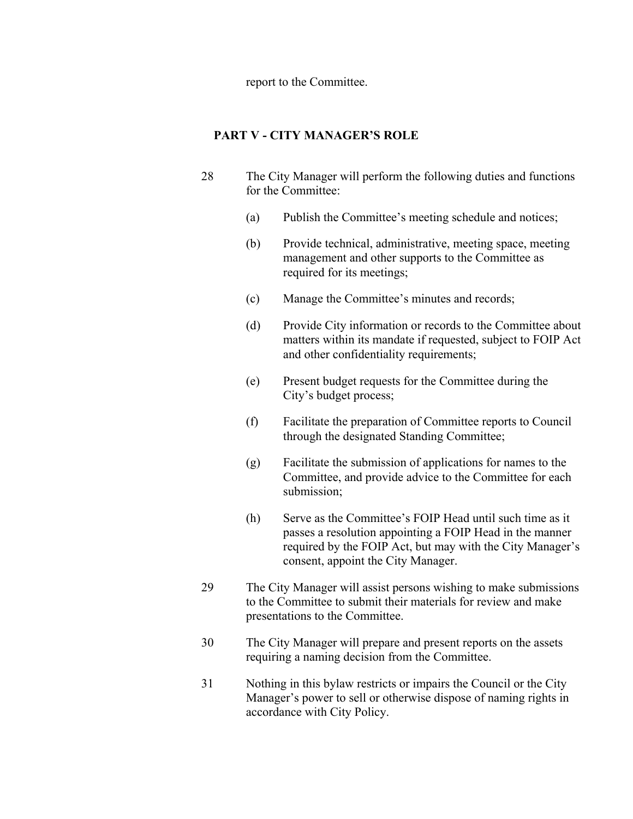report to the Committee.

#### **PART V - CITY MANAGER'S ROLE**

- 28 The City Manager will perform the following duties and functions for the Committee:
	- (a) Publish the Committee's meeting schedule and notices;
	- (b) Provide technical, administrative, meeting space, meeting management and other supports to the Committee as required for its meetings;
	- (c) Manage the Committee's minutes and records;
	- (d) Provide City information or records to the Committee about matters within its mandate if requested, subject to FOIP Act and other confidentiality requirements;
	- (e) Present budget requests for the Committee during the City's budget process;
	- (f) Facilitate the preparation of Committee reports to Council through the designated Standing Committee;
	- (g) Facilitate the submission of applications for names to the Committee, and provide advice to the Committee for each submission;
	- (h) Serve as the Committee's FOIP Head until such time as it passes a resolution appointing a FOIP Head in the manner required by the FOIP Act, but may with the City Manager's consent, appoint the City Manager.
- 29 The City Manager will assist persons wishing to make submissions to the Committee to submit their materials for review and make presentations to the Committee.
- 30 The City Manager will prepare and present reports on the assets requiring a naming decision from the Committee.
- 31 Nothing in this bylaw restricts or impairs the Council or the City Manager's power to sell or otherwise dispose of naming rights in accordance with City Policy.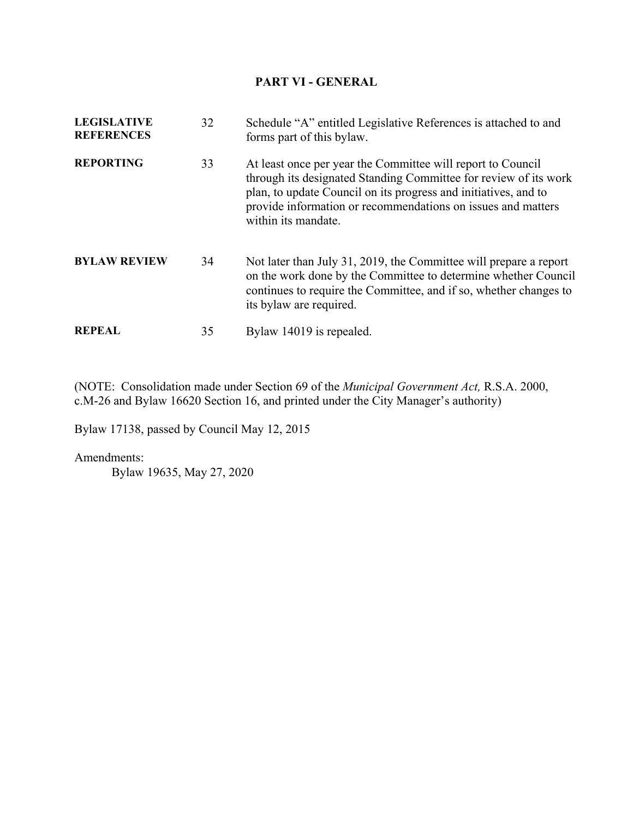#### **PART VI - GENERAL**

| <b>LEGISLATIVE</b><br><b>REFERENCES</b> | 32 | Schedule "A" entitled Legislative References is attached to and<br>forms part of this bylaw.                                                                                                                                                                                              |
|-----------------------------------------|----|-------------------------------------------------------------------------------------------------------------------------------------------------------------------------------------------------------------------------------------------------------------------------------------------|
| <b>REPORTING</b>                        | 33 | At least once per year the Committee will report to Council<br>through its designated Standing Committee for review of its work<br>plan, to update Council on its progress and initiatives, and to<br>provide information or recommendations on issues and matters<br>within its mandate. |
| <b>BYLAW REVIEW</b>                     | 34 | Not later than July 31, 2019, the Committee will prepare a report<br>on the work done by the Committee to determine whether Council<br>continues to require the Committee, and if so, whether changes to<br>its bylaw are required.                                                       |
| <b>REPEAL</b>                           | 35 | Bylaw 14019 is repealed.                                                                                                                                                                                                                                                                  |

(NOTE: Consolidation made under Section 69 of the *Municipal Government Act,* R.S.A. 2000, c.M-26 and Bylaw 16620 Section 16, and printed under the City Manager's authority)

Bylaw 17138, passed by Council May 12, 2015

Amendments:

Bylaw 19635, May 27, 2020